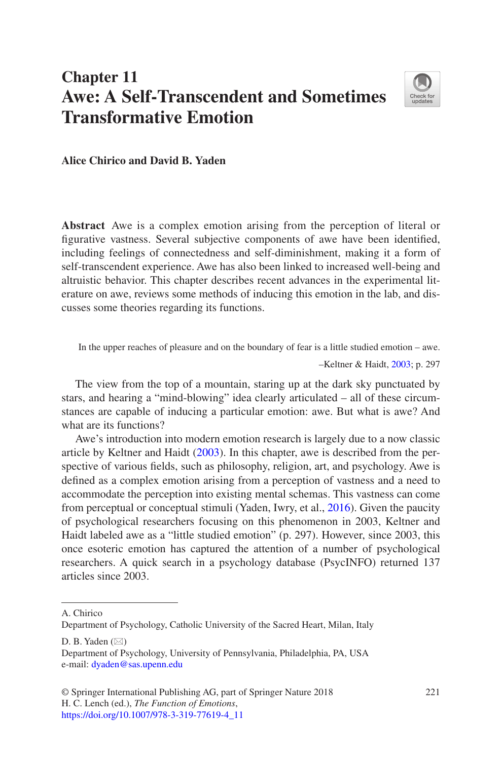# **Chapter 11 Awe: A Self-Transcendent and Sometimes Transformative Emotion**



**Alice Chirico and David B. Yaden**

**Abstract** Awe is a complex emotion arising from the perception of literal or figurative vastness. Several subjective components of awe have been identified, including feelings of connectedness and self-diminishment, making it a form of self-transcendent experience. Awe has also been linked to increased well-being and altruistic behavior. This chapter describes recent advances in the experimental literature on awe, reviews some methods of inducing this emotion in the lab, and discusses some theories regarding its functions.

In the upper reaches of pleasure and on the boundary of fear is a little studied emotion – awe.

–Keltner & Haidt, 2003; p. 297

The view from the top of a mountain, staring up at the dark sky punctuated by stars, and hearing a "mind-blowing" idea clearly articulated – all of these circumstances are capable of inducing a particular emotion: awe. But what is awe? And what are its functions?

Awe's introduction into modern emotion research is largely due to a now classic article by Keltner and Haidt (2003). In this chapter, awe is described from the perspective of various fields, such as philosophy, religion, art, and psychology. Awe is defined as a complex emotion arising from a perception of vastness and a need to accommodate the perception into existing mental schemas. This vastness can come from perceptual or conceptual stimuli (Yaden, Iwry, et al., 2016). Given the paucity of psychological researchers focusing on this phenomenon in 2003, Keltner and Haidt labeled awe as a "little studied emotion" (p. 297). However, since 2003, this once esoteric emotion has captured the attention of a number of psychological researchers. A quick search in a psychology database (PsycINFO) returned 137 articles since 2003.

D. B. Yaden  $(\boxtimes)$ 

[https://doi.org/10.1007/978-3-319-77619-4\\_11](#page-5-0)

A. Chirico

Department of Psychology, Catholic University of the Sacred Heart, Milan, Italy

Department of Psychology, University of Pennsylvania, Philadelphia, PA, USA e-mail: [dyaden@sas.upenn.edu](mailto:dyaden@sas.upenn.edu)

<sup>©</sup> Springer International Publishing AG, part of Springer Nature 2018 221 H. C. Lench (ed.), *The Function of Emotions*,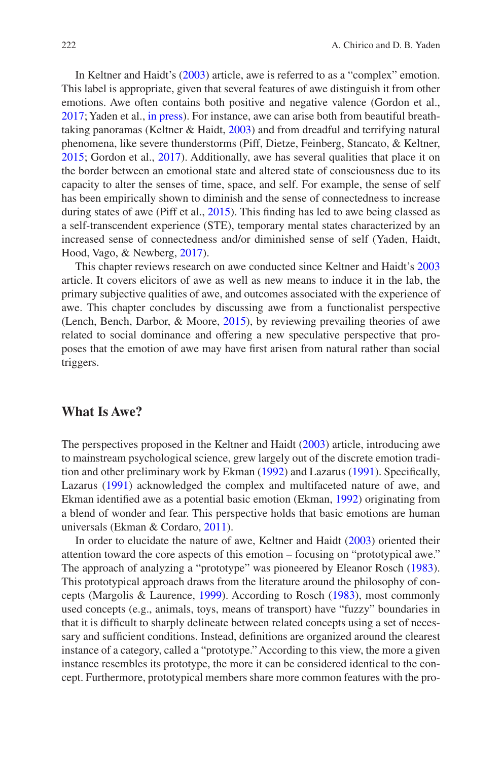In Keltner and Haidt's (2003) article, awe is referred to as a "complex" emotion. This label is appropriate, given that several features of awe distinguish it from other emotions. Awe often contains both positive and negative valence (Gordon et al., 2017; Yaden et al., in press). For instance, awe can arise both from beautiful breathtaking panoramas (Keltner & Haidt, 2003) and from dreadful and terrifying natural phenomena, like severe thunderstorms (Piff, Dietze, Feinberg, Stancato, & Keltner, 2015; Gordon et al., 2017). Additionally, awe has several qualities that place it on the border between an emotional state and altered state of consciousness due to its capacity to alter the senses of time, space, and self. For example, the sense of self has been empirically shown to diminish and the sense of connectedness to increase during states of awe (Piff et al., 2015). This finding has led to awe being classed as a self-transcendent experience (STE), temporary mental states characterized by an increased sense of connectedness and/or diminished sense of self (Yaden, Haidt, Hood, Vago, & Newberg, 2017).

This chapter reviews research on awe conducted since Keltner and Haidt's 2003 article. It covers elicitors of awe as well as new means to induce it in the lab, the primary subjective qualities of awe, and outcomes associated with the experience of awe. This chapter concludes by discussing awe from a functionalist perspective (Lench, Bench, Darbor, & Moore, 2015), by reviewing prevailing theories of awe related to social dominance and offering a new speculative perspective that proposes that the emotion of awe may have first arisen from natural rather than social triggers.

## **What Is Awe?**

The perspectives proposed in the Keltner and Haidt (2003) article, introducing awe to mainstream psychological science, grew largely out of the discrete emotion tradition and other preliminary work by Ekman (1992) and Lazarus (1991). Specifically, Lazarus (1991) acknowledged the complex and multifaceted nature of awe, and Ekman identified awe as a potential basic emotion (Ekman, 1992) originating from a blend of wonder and fear. This perspective holds that basic emotions are human universals (Ekman & Cordaro, 2011).

In order to elucidate the nature of awe, Keltner and Haidt (2003) oriented their attention toward the core aspects of this emotion – focusing on "prototypical awe." The approach of analyzing a "prototype" was pioneered by Eleanor Rosch (1983). This prototypical approach draws from the literature around the philosophy of concepts (Margolis & Laurence, 1999). According to Rosch (1983), most commonly used concepts (e.g., animals, toys, means of transport) have "fuzzy" boundaries in that it is difficult to sharply delineate between related concepts using a set of necessary and sufficient conditions. Instead, definitions are organized around the clearest instance of a category, called a "prototype." According to this view, the more a given instance resembles its prototype, the more it can be considered identical to the concept. Furthermore, prototypical members share more common features with the pro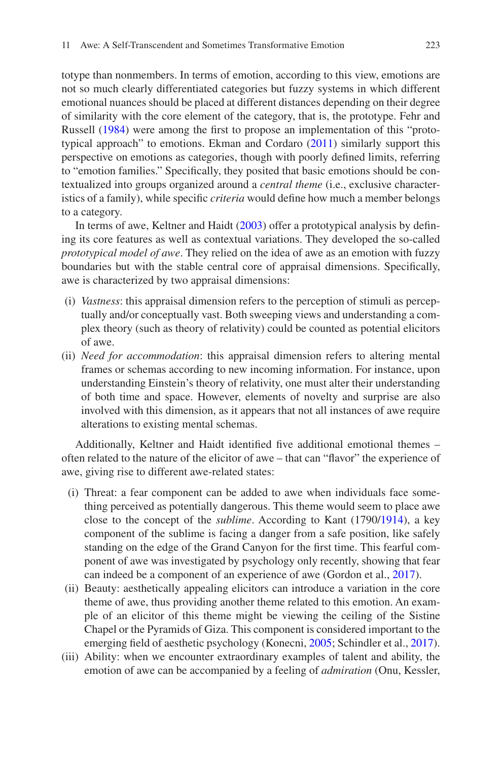totype than nonmembers. In terms of emotion, according to this view, emotions are not so much clearly differentiated categories but fuzzy systems in which different emotional nuances should be placed at different distances depending on their degree of similarity with the core element of the category, that is, the prototype. Fehr and Russell (1984) were among the first to propose an implementation of this "prototypical approach" to emotions. Ekman and Cordaro (2011) similarly support this perspective on emotions as categories, though with poorly defined limits, referring to "emotion families." Specifically, they posited that basic emotions should be contextualized into groups organized around a *central theme* (i.e., exclusive characteristics of a family), while specific *criteria* would define how much a member belongs to a category.

In terms of awe, Keltner and Haidt (2003) offer a prototypical analysis by defining its core features as well as contextual variations. They developed the so-called *prototypical model of awe*. They relied on the idea of awe as an emotion with fuzzy boundaries but with the stable central core of appraisal dimensions. Specifically, awe is characterized by two appraisal dimensions:

- (i) *Vastness*: this appraisal dimension refers to the perception of stimuli as perceptually and/or conceptually vast. Both sweeping views and understanding a complex theory (such as theory of relativity) could be counted as potential elicitors of awe.
- (ii) *Need for accommodation*: this appraisal dimension refers to altering mental frames or schemas according to new incoming information. For instance, upon understanding Einstein's theory of relativity, one must alter their understanding of both time and space. However, elements of novelty and surprise are also involved with this dimension, as it appears that not all instances of awe require alterations to existing mental schemas.

Additionally, Keltner and Haidt identified five additional emotional themes – often related to the nature of the elicitor of awe – that can "flavor" the experience of awe, giving rise to different awe-related states:

- (i) Threat: a fear component can be added to awe when individuals face something perceived as potentially dangerous. This theme would seem to place awe close to the concept of the *sublime*. According to Kant (1790/1914), a key component of the sublime is facing a danger from a safe position, like safely standing on the edge of the Grand Canyon for the first time. This fearful component of awe was investigated by psychology only recently, showing that fear can indeed be a component of an experience of awe (Gordon et al., 2017).
- (ii) Beauty: aesthetically appealing elicitors can introduce a variation in the core theme of awe, thus providing another theme related to this emotion. An example of an elicitor of this theme might be viewing the ceiling of the Sistine Chapel or the Pyramids of Giza. This component is considered important to the emerging field of aesthetic psychology (Konecni, 2005; Schindler et al., 2017).
- (iii) Ability: when we encounter extraordinary examples of talent and ability, the emotion of awe can be accompanied by a feeling of *admiration* (Onu, Kessler,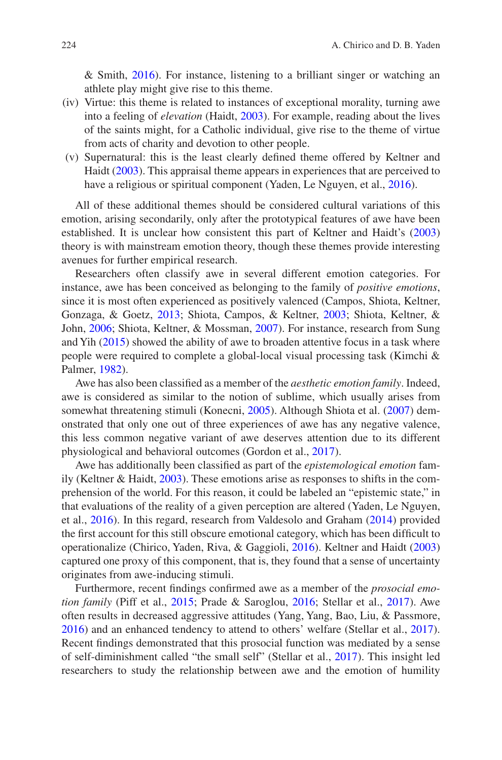& Smith, 2016). For instance, listening to a brilliant singer or watching an athlete play might give rise to this theme.

- (iv) Virtue: this theme is related to instances of exceptional morality, turning awe into a feeling of *elevation* (Haidt, 2003). For example, reading about the lives of the saints might, for a Catholic individual, give rise to the theme of virtue from acts of charity and devotion to other people.
- (v) Supernatural: this is the least clearly defined theme offered by Keltner and Haidt (2003). This appraisal theme appears in experiences that are perceived to have a religious or spiritual component (Yaden, Le Nguyen, et al., 2016).

All of these additional themes should be considered cultural variations of this emotion, arising secondarily, only after the prototypical features of awe have been established. It is unclear how consistent this part of Keltner and Haidt's (2003) theory is with mainstream emotion theory, though these themes provide interesting avenues for further empirical research.

Researchers often classify awe in several different emotion categories. For instance, awe has been conceived as belonging to the family of *positive emotions*, since it is most often experienced as positively valenced (Campos, Shiota, Keltner, Gonzaga, & Goetz, 2013; Shiota, Campos, & Keltner, 2003; Shiota, Keltner, & John, 2006; Shiota, Keltner, & Mossman, 2007). For instance, research from Sung and Yih (2015) showed the ability of awe to broaden attentive focus in a task where people were required to complete a global-local visual processing task (Kimchi & Palmer, 1982).

Awe has also been classified as a member of the *aesthetic emotion family*. Indeed, awe is considered as similar to the notion of sublime, which usually arises from somewhat threatening stimuli (Konecni, 2005). Although Shiota et al. (2007) demonstrated that only one out of three experiences of awe has any negative valence, this less common negative variant of awe deserves attention due to its different physiological and behavioral outcomes (Gordon et al., 2017).

Awe has additionally been classified as part of the *epistemological emotion* family (Keltner & Haidt, 2003). These emotions arise as responses to shifts in the comprehension of the world. For this reason, it could be labeled an "epistemic state," in that evaluations of the reality of a given perception are altered (Yaden, Le Nguyen, et al., 2016). In this regard, research from Valdesolo and Graham (2014) provided the first account for this still obscure emotional category, which has been difficult to operationalize (Chirico, Yaden, Riva, & Gaggioli, 2016). Keltner and Haidt (2003) captured one proxy of this component, that is, they found that a sense of uncertainty originates from awe-inducing stimuli.

Furthermore, recent findings confirmed awe as a member of the *prosocial emotion family* (Piff et al., 2015; Prade & Saroglou, 2016; Stellar et al., 2017). Awe often results in decreased aggressive attitudes (Yang, Yang, Bao, Liu, & Passmore, 2016) and an enhanced tendency to attend to others' welfare (Stellar et al., 2017). Recent findings demonstrated that this prosocial function was mediated by a sense of self-diminishment called "the small self" (Stellar et al., 2017). This insight led researchers to study the relationship between awe and the emotion of humility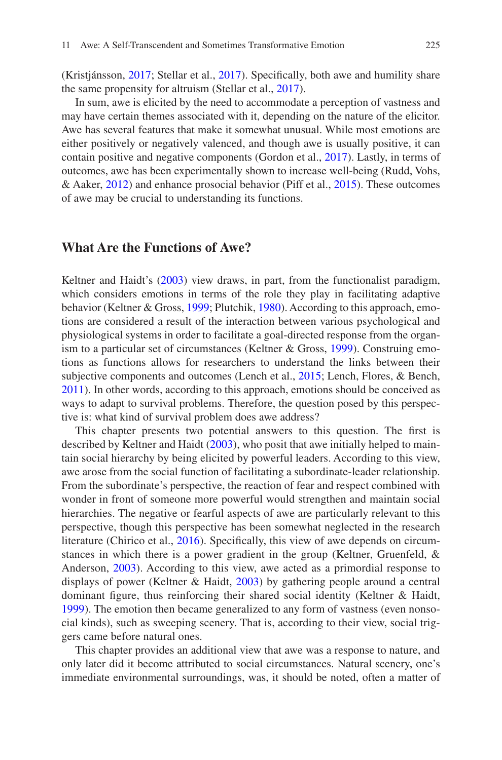(Kristjánsson, 2017; Stellar et al., 2017). Specifically, both awe and humility share the same propensity for altruism (Stellar et al., 2017).

In sum, awe is elicited by the need to accommodate a perception of vastness and may have certain themes associated with it, depending on the nature of the elicitor. Awe has several features that make it somewhat unusual. While most emotions are either positively or negatively valenced, and though awe is usually positive, it can contain positive and negative components (Gordon et al., 2017). Lastly, in terms of outcomes, awe has been experimentally shown to increase well-being (Rudd, Vohs, & Aaker, 2012) and enhance prosocial behavior (Piff et al., 2015). These outcomes of awe may be crucial to understanding its functions.

### **What Are the Functions of Awe?**

Keltner and Haidt's (2003) view draws, in part, from the functionalist paradigm, which considers emotions in terms of the role they play in facilitating adaptive behavior (Keltner & Gross, 1999; Plutchik, 1980). According to this approach, emotions are considered a result of the interaction between various psychological and physiological systems in order to facilitate a goal-directed response from the organism to a particular set of circumstances (Keltner & Gross, 1999). Construing emotions as functions allows for researchers to understand the links between their subjective components and outcomes (Lench et al., 2015; Lench, Flores, & Bench, 2011). In other words, according to this approach, emotions should be conceived as ways to adapt to survival problems. Therefore, the question posed by this perspective is: what kind of survival problem does awe address?

This chapter presents two potential answers to this question. The first is described by Keltner and Haidt (2003), who posit that awe initially helped to maintain social hierarchy by being elicited by powerful leaders. According to this view, awe arose from the social function of facilitating a subordinate-leader relationship. From the subordinate's perspective, the reaction of fear and respect combined with wonder in front of someone more powerful would strengthen and maintain social hierarchies. The negative or fearful aspects of awe are particularly relevant to this perspective, though this perspective has been somewhat neglected in the research literature (Chirico et al., 2016). Specifically, this view of awe depends on circumstances in which there is a power gradient in the group (Keltner, Gruenfeld, & Anderson, 2003). According to this view, awe acted as a primordial response to displays of power (Keltner & Haidt, 2003) by gathering people around a central dominant figure, thus reinforcing their shared social identity (Keltner & Haidt, 1999). The emotion then became generalized to any form of vastness (even nonsocial kinds), such as sweeping scenery. That is, according to their view, social triggers came before natural ones.

This chapter provides an additional view that awe was a response to nature, and only later did it become attributed to social circumstances. Natural scenery, one's immediate environmental surroundings, was, it should be noted, often a matter of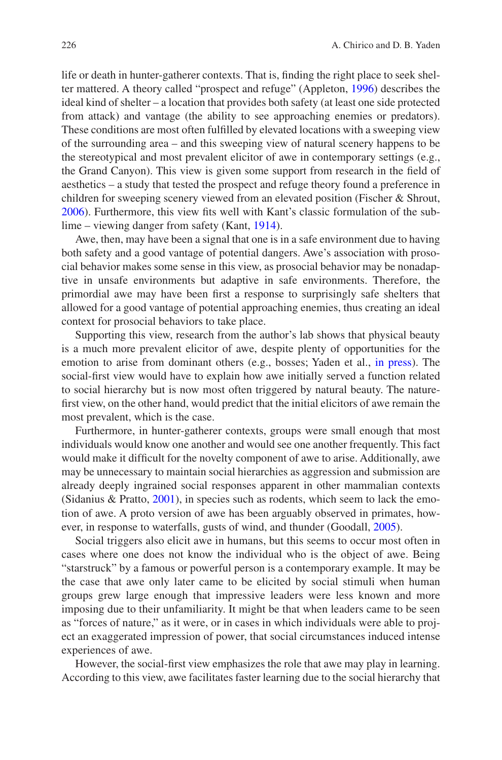<span id="page-5-0"></span>life or death in hunter-gatherer contexts. That is, finding the right place to seek shelter mattered. A theory called "prospect and refuge" (Appleton, 1996) describes the ideal kind of shelter – a location that provides both safety (at least one side protected from attack) and vantage (the ability to see approaching enemies or predators). These conditions are most often fulfilled by elevated locations with a sweeping view of the surrounding area – and this sweeping view of natural scenery happens to be the stereotypical and most prevalent elicitor of awe in contemporary settings (e.g., the Grand Canyon). This view is given some support from research in the field of aesthetics – a study that tested the prospect and refuge theory found a preference in children for sweeping scenery viewed from an elevated position (Fischer & Shrout, 2006). Furthermore, this view fits well with Kant's classic formulation of the sublime – viewing danger from safety (Kant, 1914).

Awe, then, may have been a signal that one is in a safe environment due to having both safety and a good vantage of potential dangers. Awe's association with prosocial behavior makes some sense in this view, as prosocial behavior may be nonadaptive in unsafe environments but adaptive in safe environments. Therefore, the primordial awe may have been first a response to surprisingly safe shelters that allowed for a good vantage of potential approaching enemies, thus creating an ideal context for prosocial behaviors to take place.

Supporting this view, research from the author's lab shows that physical beauty is a much more prevalent elicitor of awe, despite plenty of opportunities for the emotion to arise from dominant others (e.g., bosses; Yaden et al., in press). The social-first view would have to explain how awe initially served a function related to social hierarchy but is now most often triggered by natural beauty. The naturefirst view, on the other hand, would predict that the initial elicitors of awe remain the most prevalent, which is the case.

Furthermore, in hunter-gatherer contexts, groups were small enough that most individuals would know one another and would see one another frequently. This fact would make it difficult for the novelty component of awe to arise. Additionally, awe may be unnecessary to maintain social hierarchies as aggression and submission are already deeply ingrained social responses apparent in other mammalian contexts (Sidanius & Pratto, 2001), in species such as rodents, which seem to lack the emotion of awe. A proto version of awe has been arguably observed in primates, however, in response to waterfalls, gusts of wind, and thunder (Goodall, 2005).

Social triggers also elicit awe in humans, but this seems to occur most often in cases where one does not know the individual who is the object of awe. Being "starstruck" by a famous or powerful person is a contemporary example. It may be the case that awe only later came to be elicited by social stimuli when human groups grew large enough that impressive leaders were less known and more imposing due to their unfamiliarity. It might be that when leaders came to be seen as "forces of nature," as it were, or in cases in which individuals were able to project an exaggerated impression of power, that social circumstances induced intense experiences of awe.

However, the social-first view emphasizes the role that awe may play in learning. According to this view, awe facilitates faster learning due to the social hierarchy that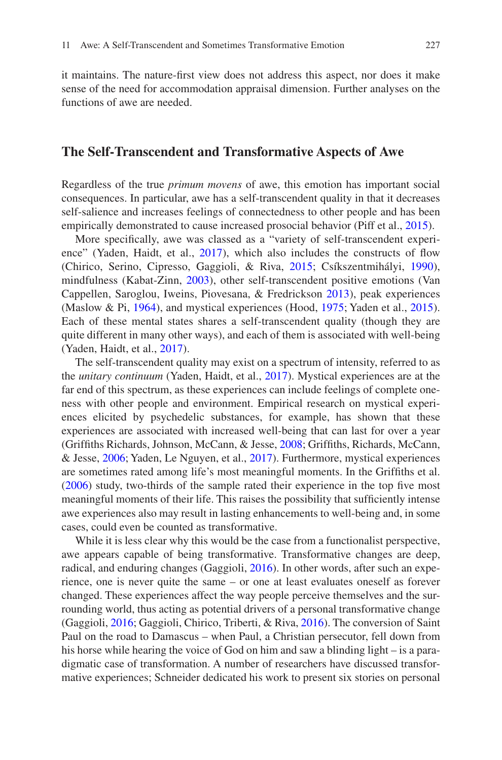it maintains. The nature-first view does not address this aspect, nor does it make sense of the need for accommodation appraisal dimension. Further analyses on the functions of awe are needed.

#### **The Self-Transcendent and Transformative Aspects of Awe**

Regardless of the true *primum movens* of awe, this emotion has important social consequences. In particular, awe has a self-transcendent quality in that it decreases self-salience and increases feelings of connectedness to other people and has been empirically demonstrated to cause increased prosocial behavior (Piff et al., 2015).

More specifically, awe was classed as a "variety of self-transcendent experience" (Yaden, Haidt, et al., 2017), which also includes the constructs of flow (Chirico, Serino, Cipresso, Gaggioli, & Riva, 2015; Csíkszentmihályi, 1990), mindfulness (Kabat-Zinn, 2003), other self-transcendent positive emotions (Van Cappellen, Saroglou, Iweins, Piovesana, & Fredrickson 2013), peak experiences (Maslow & Pi, 1964), and mystical experiences (Hood, 1975; Yaden et al., 2015). Each of these mental states shares a self-transcendent quality (though they are quite different in many other ways), and each of them is associated with well-being (Yaden, Haidt, et al., 2017).

The self-transcendent quality may exist on a spectrum of intensity, referred to as the *unitary continuum* (Yaden, Haidt, et al., 2017). Mystical experiences are at the far end of this spectrum, as these experiences can include feelings of complete oneness with other people and environment. Empirical research on mystical experiences elicited by psychedelic substances, for example, has shown that these experiences are associated with increased well-being that can last for over a year (Griffiths Richards, Johnson, McCann, & Jesse, 2008; Griffiths, Richards, McCann, & Jesse, 2006; Yaden, Le Nguyen, et al., 2017). Furthermore, mystical experiences are sometimes rated among life's most meaningful moments. In the Griffiths et al. (2006) study, two-thirds of the sample rated their experience in the top five most meaningful moments of their life. This raises the possibility that sufficiently intense awe experiences also may result in lasting enhancements to well-being and, in some cases, could even be counted as transformative.

While it is less clear why this would be the case from a functionalist perspective, awe appears capable of being transformative. Transformative changes are deep, radical, and enduring changes (Gaggioli, 2016). In other words, after such an experience, one is never quite the same – or one at least evaluates oneself as forever changed. These experiences affect the way people perceive themselves and the surrounding world, thus acting as potential drivers of a personal transformative change (Gaggioli, 2016; Gaggioli, Chirico, Triberti, & Riva, 2016). The conversion of Saint Paul on the road to Damascus – when Paul, a Christian persecutor, fell down from his horse while hearing the voice of God on him and saw a blinding light – is a paradigmatic case of transformation. A number of researchers have discussed transformative experiences; Schneider dedicated his work to present six stories on personal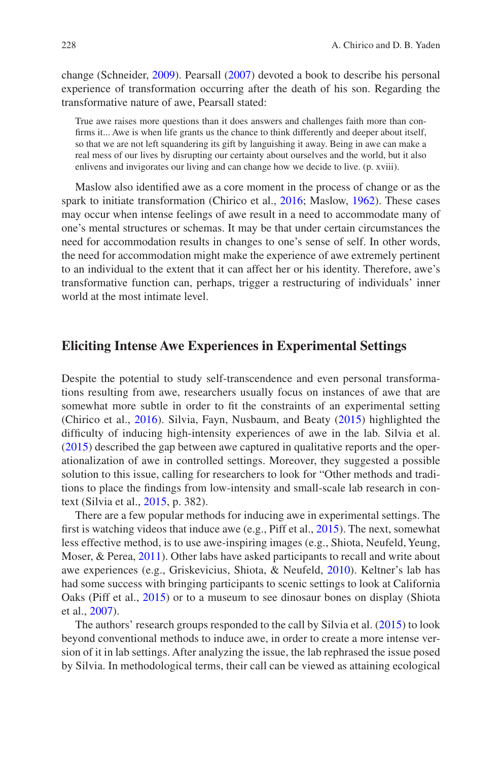change (Schneider, 2009). Pearsall (2007) devoted a book to describe his personal experience of transformation occurring after the death of his son. Regarding the transformative nature of awe, Pearsall stated:

True awe raises more questions than it does answers and challenges faith more than confirms it... Awe is when life grants us the chance to think differently and deeper about itself, so that we are not left squandering its gift by languishing it away. Being in awe can make a real mess of our lives by disrupting our certainty about ourselves and the world, but it also enlivens and invigorates our living and can change how we decide to live. (p. xviii).

Maslow also identified awe as a core moment in the process of change or as the spark to initiate transformation (Chirico et al., 2016; Maslow, 1962). These cases may occur when intense feelings of awe result in a need to accommodate many of one's mental structures or schemas. It may be that under certain circumstances the need for accommodation results in changes to one's sense of self. In other words, the need for accommodation might make the experience of awe extremely pertinent to an individual to the extent that it can affect her or his identity. Therefore, awe's transformative function can, perhaps, trigger a restructuring of individuals' inner world at the most intimate level.

#### **Eliciting Intense Awe Experiences in Experimental Settings**

Despite the potential to study self-transcendence and even personal transformations resulting from awe, researchers usually focus on instances of awe that are somewhat more subtle in order to fit the constraints of an experimental setting (Chirico et al., 2016). Silvia, Fayn, Nusbaum, and Beaty (2015) highlighted the difficulty of inducing high-intensity experiences of awe in the lab. Silvia et al. (2015) described the gap between awe captured in qualitative reports and the operationalization of awe in controlled settings. Moreover, they suggested a possible solution to this issue, calling for researchers to look for "Other methods and traditions to place the findings from low-intensity and small-scale lab research in context (Silvia et al., 2015, p. 382).

There are a few popular methods for inducing awe in experimental settings. The first is watching videos that induce awe (e.g., Piff et al., 2015). The next, somewhat less effective method, is to use awe-inspiring images (e.g., Shiota, Neufeld, Yeung, Moser, & Perea, 2011). Other labs have asked participants to recall and write about awe experiences (e.g., Griskevicius, Shiota, & Neufeld, 2010). Keltner's lab has had some success with bringing participants to scenic settings to look at California Oaks (Piff et al., 2015) or to a museum to see dinosaur bones on display (Shiota et al., 2007).

The authors' research groups responded to the call by Silvia et al. (2015) to look beyond conventional methods to induce awe, in order to create a more intense version of it in lab settings. After analyzing the issue, the lab rephrased the issue posed by Silvia. In methodological terms, their call can be viewed as attaining ecological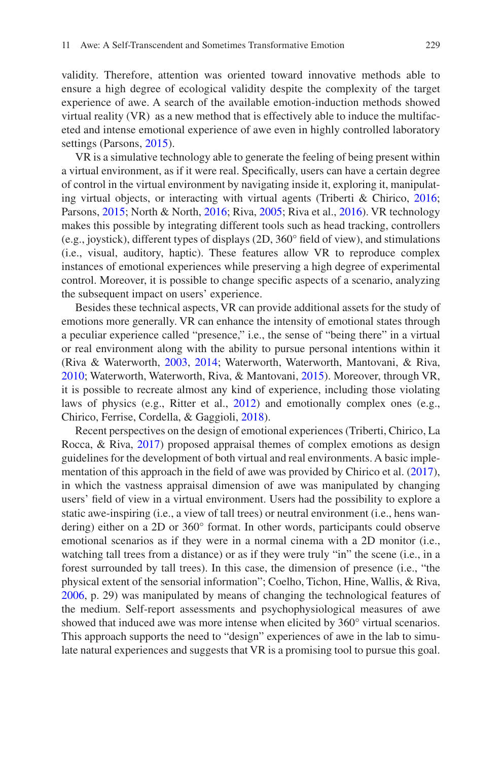validity. Therefore, attention was oriented toward innovative methods able to ensure a high degree of ecological validity despite the complexity of the target experience of awe. A search of the available emotion-induction methods showed virtual reality (VR) as a new method that is effectively able to induce the multifaceted and intense emotional experience of awe even in highly controlled laboratory settings (Parsons, 2015).

VR is a simulative technology able to generate the feeling of being present within a virtual environment, as if it were real. Specifically, users can have a certain degree of control in the virtual environment by navigating inside it, exploring it, manipulating virtual objects, or interacting with virtual agents (Triberti & Chirico, 2016; Parsons, 2015; North & North, 2016; Riva, 2005; Riva et al., 2016). VR technology makes this possible by integrating different tools such as head tracking, controllers (e.g., joystick), different types of displays (2D, 360° field of view), and stimulations (i.e., visual, auditory, haptic). These features allow VR to reproduce complex instances of emotional experiences while preserving a high degree of experimental control. Moreover, it is possible to change specific aspects of a scenario, analyzing the subsequent impact on users' experience.

Besides these technical aspects, VR can provide additional assets for the study of emotions more generally. VR can enhance the intensity of emotional states through a peculiar experience called "presence," i.e., the sense of "being there" in a virtual or real environment along with the ability to pursue personal intentions within it (Riva & Waterworth, 2003, 2014; Waterworth, Waterworth, Mantovani, & Riva, 2010; Waterworth, Waterworth, Riva, & Mantovani, 2015). Moreover, through VR, it is possible to recreate almost any kind of experience, including those violating laws of physics (e.g., Ritter et al., 2012) and emotionally complex ones (e.g., Chirico, Ferrise, Cordella, & Gaggioli, 2018).

Recent perspectives on the design of emotional experiences (Triberti, Chirico, La Rocca, & Riva, 2017) proposed appraisal themes of complex emotions as design guidelines for the development of both virtual and real environments. A basic implementation of this approach in the field of awe was provided by Chirico et al. (2017), in which the vastness appraisal dimension of awe was manipulated by changing users' field of view in a virtual environment. Users had the possibility to explore a static awe-inspiring (i.e., a view of tall trees) or neutral environment (i.e., hens wandering) either on a 2D or 360° format. In other words, participants could observe emotional scenarios as if they were in a normal cinema with a 2D monitor (i.e., watching tall trees from a distance) or as if they were truly "in" the scene (i.e., in a forest surrounded by tall trees). In this case, the dimension of presence (i.e., "the physical extent of the sensorial information"; Coelho, Tichon, Hine, Wallis, & Riva, 2006, p. 29) was manipulated by means of changing the technological features of the medium. Self-report assessments and psychophysiological measures of awe showed that induced awe was more intense when elicited by 360° virtual scenarios. This approach supports the need to "design" experiences of awe in the lab to simulate natural experiences and suggests that VR is a promising tool to pursue this goal.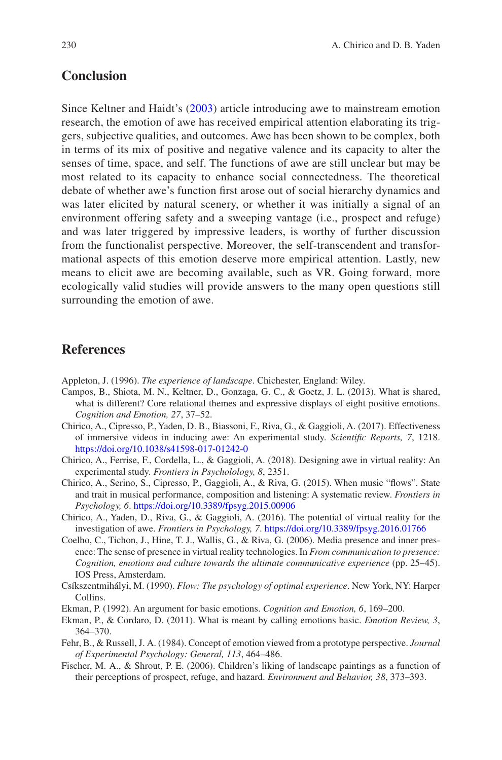# **Conclusion**

Since Keltner and Haidt's (2003) article introducing awe to mainstream emotion research, the emotion of awe has received empirical attention elaborating its triggers, subjective qualities, and outcomes. Awe has been shown to be complex, both in terms of its mix of positive and negative valence and its capacity to alter the senses of time, space, and self. The functions of awe are still unclear but may be most related to its capacity to enhance social connectedness. The theoretical debate of whether awe's function first arose out of social hierarchy dynamics and was later elicited by natural scenery, or whether it was initially a signal of an environment offering safety and a sweeping vantage (i.e., prospect and refuge) and was later triggered by impressive leaders, is worthy of further discussion from the functionalist perspective. Moreover, the self-transcendent and transformational aspects of this emotion deserve more empirical attention. Lastly, new means to elicit awe are becoming available, such as VR. Going forward, more ecologically valid studies will provide answers to the many open questions still surrounding the emotion of awe.

# **References**

- Appleton, J. (1996). *The experience of landscape*. Chichester, England: Wiley.
- Campos, B., Shiota, M. N., Keltner, D., Gonzaga, G. C., & Goetz, J. L. (2013). What is shared, what is different? Core relational themes and expressive displays of eight positive emotions. *Cognition and Emotion, 27*, 37–52.
- Chirico, A., Cipresso, P., Yaden, D. B., Biassoni, F., Riva, G., & Gaggioli, A. (2017). Effectiveness of immersive videos in inducing awe: An experimental study. *Scientific Reports, 7*, 1218. <https://doi.org/10.1038/s41598-017-01242-0>
- Chirico, A., Ferrise, F., Cordella, L., & Gaggioli, A. (2018). Designing awe in virtual reality: An experimental study. *Frontiers in Psycholology, 8*, 2351.
- Chirico, A., Serino, S., Cipresso, P., Gaggioli, A., & Riva, G. (2015). When music "flows". State and trait in musical performance, composition and listening: A systematic review. *Frontiers in Psychology, 6*.<https://doi.org/10.3389/fpsyg.2015.00906>
- Chirico, A., Yaden, D., Riva, G., & Gaggioli, A. (2016). The potential of virtual reality for the investigation of awe. *Frontiers in Psychology, 7*. <https://doi.org/10.3389/fpsyg.2016.01766>
- Coelho, C., Tichon, J., Hine, T. J., Wallis, G., & Riva, G. (2006). Media presence and inner presence: The sense of presence in virtual reality technologies. In *From communication to presence: Cognition, emotions and culture towards the ultimate communicative experience* (pp. 25–45). IOS Press, Amsterdam.
- Csíkszentmihályi, M. (1990). *Flow: The psychology of optimal experience*. New York, NY: Harper Collins.
- Ekman, P. (1992). An argument for basic emotions. *Cognition and Emotion, 6*, 169–200.
- Ekman, P., & Cordaro, D. (2011). What is meant by calling emotions basic. *Emotion Review, 3*, 364–370.
- Fehr, B., & Russell, J. A. (1984). Concept of emotion viewed from a prototype perspective. *Journal of Experimental Psychology: General, 113*, 464–486.
- Fischer, M. A., & Shrout, P. E. (2006). Children's liking of landscape paintings as a function of their perceptions of prospect, refuge, and hazard. *Environment and Behavior, 38*, 373–393.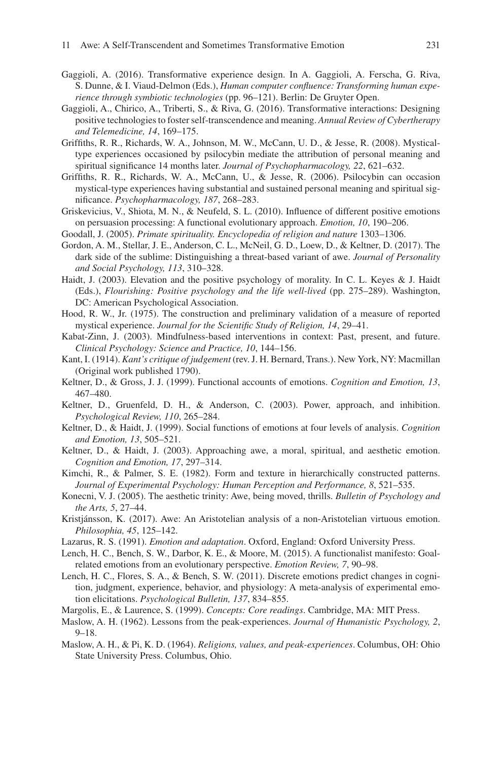- Gaggioli, A. (2016). Transformative experience design. In A. Gaggioli, A. Ferscha, G. Riva, S. Dunne, & I. Viaud-Delmon (Eds.), *Human computer confluence: Transforming human experience through symbiotic technologies* (pp. 96–121). Berlin: De Gruyter Open.
- Gaggioli, A., Chirico, A., Triberti, S., & Riva, G. (2016). Transformative interactions: Designing positive technologies to foster self-transcendence and meaning. *Annual Review of Cybertherapy and Telemedicine, 14*, 169–175.
- Griffiths, R. R., Richards, W. A., Johnson, M. W., McCann, U. D., & Jesse, R. (2008). Mysticaltype experiences occasioned by psilocybin mediate the attribution of personal meaning and spiritual significance 14 months later. *Journal of Psychopharmacology, 22*, 621–632.
- Griffiths, R. R., Richards, W. A., McCann, U., & Jesse, R. (2006). Psilocybin can occasion mystical-type experiences having substantial and sustained personal meaning and spiritual significance. *Psychopharmacology, 187*, 268–283.
- Griskevicius, V., Shiota, M. N., & Neufeld, S. L. (2010). Influence of different positive emotions on persuasion processing: A functional evolutionary approach. *Emotion, 10*, 190–206.
- Goodall, J. (2005). *Primate spirituality. Encyclopedia of religion and nature* 1303–1306.
- Gordon, A. M., Stellar, J. E., Anderson, C. L., McNeil, G. D., Loew, D., & Keltner, D. (2017). The dark side of the sublime: Distinguishing a threat-based variant of awe. *Journal of Personality and Social Psychology, 113*, 310–328.
- Haidt, J. (2003). Elevation and the positive psychology of morality. In C. L. Keyes & J. Haidt (Eds.), *Flourishing: Positive psychology and the life well-lived* (pp. 275–289). Washington, DC: American Psychological Association.
- Hood, R. W., Jr. (1975). The construction and preliminary validation of a measure of reported mystical experience. *Journal for the Scientific Study of Religion, 14*, 29–41.
- Kabat-Zinn, J. (2003). Mindfulness-based interventions in context: Past, present, and future. *Clinical Psychology: Science and Practice, 10*, 144–156.
- Kant, I. (1914). *Kant's critique of judgement* (rev. J. H. Bernard, Trans.). New York, NY: Macmillan (Original work published 1790).
- Keltner, D., & Gross, J. J. (1999). Functional accounts of emotions. *Cognition and Emotion, 13*, 467–480.
- Keltner, D., Gruenfeld, D. H., & Anderson, C. (2003). Power, approach, and inhibition. *Psychological Review, 110*, 265–284.
- Keltner, D., & Haidt, J. (1999). Social functions of emotions at four levels of analysis. *Cognition and Emotion, 13*, 505–521.
- Keltner, D., & Haidt, J. (2003). Approaching awe, a moral, spiritual, and aesthetic emotion. *Cognition and Emotion, 17*, 297–314.
- Kimchi, R., & Palmer, S. E. (1982). Form and texture in hierarchically constructed patterns. *Journal of Experimental Psychology: Human Perception and Performance, 8*, 521–535.
- Konecni, V. J. (2005). The aesthetic trinity: Awe, being moved, thrills. *Bulletin of Psychology and the Arts, 5*, 27–44.
- Kristjánsson, K. (2017). Awe: An Aristotelian analysis of a non-Aristotelian virtuous emotion. *Philosophia, 45*, 125–142.
- Lazarus, R. S. (1991). *Emotion and adaptation*. Oxford, England: Oxford University Press.
- Lench, H. C., Bench, S. W., Darbor, K. E., & Moore, M. (2015). A functionalist manifesto: Goalrelated emotions from an evolutionary perspective. *Emotion Review, 7*, 90–98.
- Lench, H. C., Flores, S. A., & Bench, S. W. (2011). Discrete emotions predict changes in cognition, judgment, experience, behavior, and physiology: A meta-analysis of experimental emotion elicitations. *Psychological Bulletin, 137*, 834–855.
- Margolis, E., & Laurence, S. (1999). *Concepts: Core readings*. Cambridge, MA: MIT Press.
- Maslow, A. H. (1962). Lessons from the peak-experiences. *Journal of Humanistic Psychology, 2*, 9–18.
- Maslow, A. H., & Pi, K. D. (1964). *Religions, values, and peak-experiences*. Columbus, OH: Ohio State University Press. Columbus, Ohio.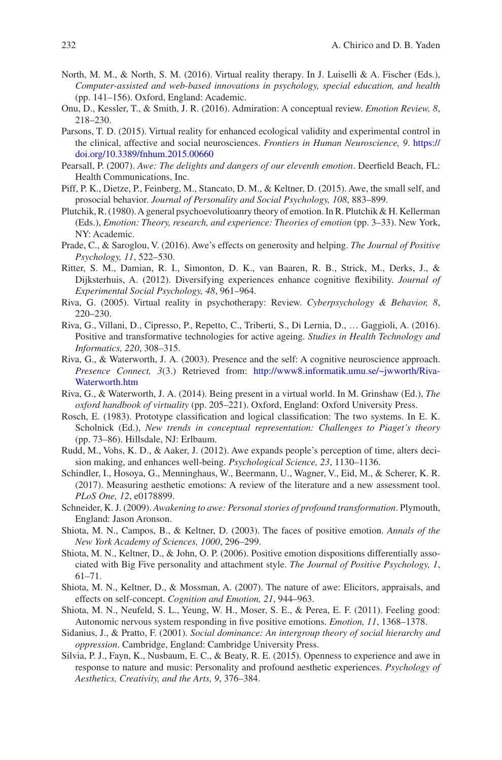- North, M. M., & North, S. M. (2016). Virtual reality therapy. In J. Luiselli & A. Fischer (Eds.), *Computer-assisted and web-based innovations in psychology, special education, and health* (pp. 141–156). Oxford, England: Academic.
- Onu, D., Kessler, T., & Smith, J. R. (2016). Admiration: A conceptual review. *Emotion Review, 8*, 218–230.
- Parsons, T. D. (2015). Virtual reality for enhanced ecological validity and experimental control in the clinical, affective and social neurosciences. *Frontiers in Human Neuroscience, 9*. [https://](https://doi.org/10.3389/fnhum.2015.00660) [doi.org/10.3389/fnhum.2015.00660](https://doi.org/10.3389/fnhum.2015.00660)
- Pearsall, P. (2007). *Awe: The delights and dangers of our eleventh emotion*. Deerfield Beach, FL: Health Communications, Inc.
- Piff, P. K., Dietze, P., Feinberg, M., Stancato, D. M., & Keltner, D. (2015). Awe, the small self, and prosocial behavior. *Journal of Personality and Social Psychology, 108*, 883–899.
- Plutchik, R. (1980). A general psychoevolutioanry theory of emotion. In R. Plutchik & H. Kellerman (Eds.), *Emotion: Theory, research, and experience: Theories of emotion* (pp. 3–33). New York, NY: Academic.
- Prade, C., & Saroglou, V. (2016). Awe's effects on generosity and helping. *The Journal of Positive Psychology, 11*, 522–530.
- Ritter, S. M., Damian, R. I., Simonton, D. K., van Baaren, R. B., Strick, M., Derks, J., & Dijksterhuis, A. (2012). Diversifying experiences enhance cognitive flexibility. *Journal of Experimental Social Psychology, 48*, 961–964.
- Riva, G. (2005). Virtual reality in psychotherapy: Review. *Cyberpsychology & Behavior, 8*, 220–230.
- Riva, G., Villani, D., Cipresso, P., Repetto, C., Triberti, S., Di Lernia, D., … Gaggioli, A. (2016). Positive and transformative technologies for active ageing. *Studies in Health Technology and Informatics, 220*, 308–315.
- Riva, G., & Waterworth, J. A. (2003). Presence and the self: A cognitive neuroscience approach. *Presence Connect, 3*(3.) Retrieved from: [http://www8.informatik.umu.se/~jwworth/Riva-](http://www8.informatik.umu.se/~jwworth/Riva-Waterworth.htm)[Waterworth.htm](http://www8.informatik.umu.se/~jwworth/Riva-Waterworth.htm)
- Riva, G., & Waterworth, J. A. (2014). Being present in a virtual world. In M. Grinshaw (Ed.), *The oxford handbook of virtuality* (pp. 205–221). Oxford, England: Oxford University Press.
- Rosch, E. (1983). Prototype classification and logical classification: The two systems. In E. K. Scholnick (Ed.), *New trends in conceptual representation: Challenges to Piaget's theory* (pp. 73–86). Hillsdale, NJ: Erlbaum.
- Rudd, M., Vohs, K. D., & Aaker, J. (2012). Awe expands people's perception of time, alters decision making, and enhances well-being. *Psychological Science, 23*, 1130–1136.
- Schindler, I., Hosoya, G., Menninghaus, W., Beermann, U., Wagner, V., Eid, M., & Scherer, K. R. (2017). Measuring aesthetic emotions: A review of the literature and a new assessment tool. *PLoS One, 12*, e0178899.
- Schneider, K. J. (2009). *Awakening to awe: Personal stories of profound transformation*. Plymouth, England: Jason Aronson.
- Shiota, M. N., Campos, B., & Keltner, D. (2003). The faces of positive emotion. *Annals of the New York Academy of Sciences, 1000*, 296–299.
- Shiota, M. N., Keltner, D., & John, O. P. (2006). Positive emotion dispositions differentially associated with Big Five personality and attachment style. *The Journal of Positive Psychology, 1*, 61–71.
- Shiota, M. N., Keltner, D., & Mossman, A. (2007). The nature of awe: Elicitors, appraisals, and effects on self-concept. *Cognition and Emotion, 21*, 944–963.
- Shiota, M. N., Neufeld, S. L., Yeung, W. H., Moser, S. E., & Perea, E. F. (2011). Feeling good: Autonomic nervous system responding in five positive emotions. *Emotion, 11*, 1368–1378.
- Sidanius, J., & Pratto, F. (2001). *Social dominance: An intergroup theory of social hierarchy and oppression*. Cambridge, England: Cambridge University Press.
- Silvia, P. J., Fayn, K., Nusbaum, E. C., & Beaty, R. E. (2015). Openness to experience and awe in response to nature and music: Personality and profound aesthetic experiences. *Psychology of Aesthetics, Creativity, and the Arts, 9*, 376–384.